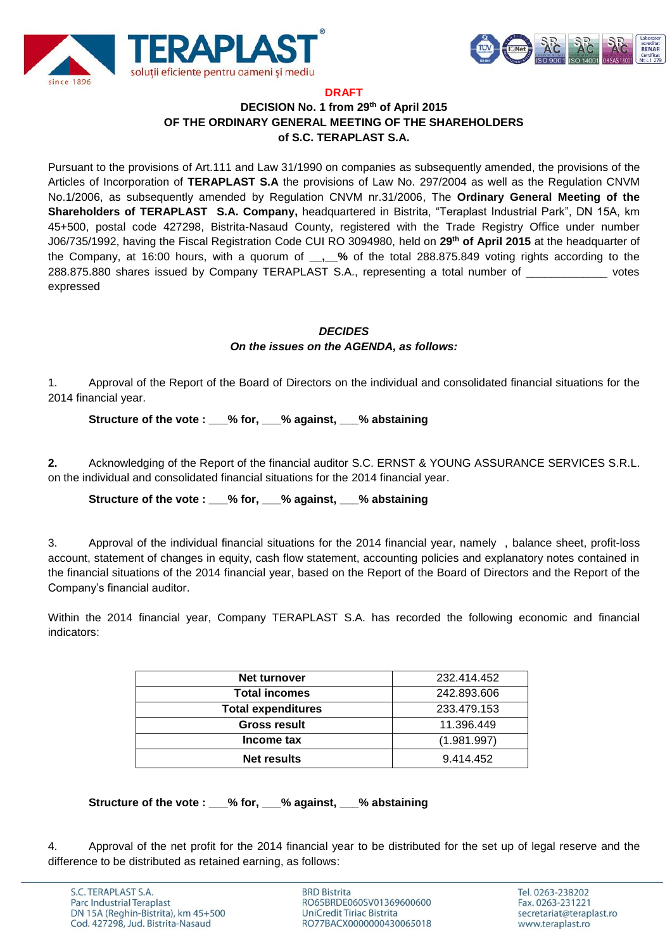



#### **DRAFT**

# **DECISION No. 1 from 29th of April 2015 OF THE ORDINARY GENERAL MEETING OF THE SHAREHOLDERS of S.C. TERAPLAST S.A.**

Pursuant to the provisions of Art.111 and Law 31/1990 on companies as subsequently amended, the provisions of the Articles of Incorporation of **TERAPLAST S.A** the provisions of Law No. 297/2004 as well as the Regulation CNVM No.1/2006, as subsequently amended by Regulation CNVM nr.31/2006, The **Ordinary General Meeting of the Shareholders of TERAPLAST S.A. Company,** headquartered in Bistrita, "Teraplast Industrial Park", DN 15A, km 45+500, postal code 427298, Bistrita-Nasaud County, registered with the Trade Registry Office under number J06/735/1992, having the Fiscal Registration Code CUI RO 3094980, held on **29 th of April 2015** at the headquarter of the Company, at 16:00 hours, with a quorum of **\_\_,\_\_%** of the total 288.875.849 voting rights according to the 288.875.880 shares issued by Company TERAPLAST S.A., representing a total number of votes expressed

#### *DECIDES On the issues on the AGENDA, as follows:*

1. Approval of the Report of the Board of Directors on the individual and consolidated financial situations for the 2014 financial year.

## **Structure of the vote : \_\_\_% for, \_\_\_% against, \_\_\_% abstaining**

**2.** Acknowledging of the Report of the financial auditor S.C. ERNST & YOUNG ASSURANCE SERVICES S.R.L. on the individual and consolidated financial situations for the 2014 financial year.

#### **Structure of the vote : \_\_\_% for, \_\_\_% against, \_\_\_% abstaining**

3. Approval of the individual financial situations for the 2014 financial year, namely , balance sheet, profit-loss account, statement of changes in equity, cash flow statement, accounting policies and explanatory notes contained in the financial situations of the 2014 financial year, based on the Report of the Board of Directors and the Report of the Company's financial auditor.

Within the 2014 financial year, Company TERAPLAST S.A. has recorded the following economic and financial indicators:

| Net turnover              | 232.414.452 |
|---------------------------|-------------|
| <b>Total incomes</b>      | 242.893.606 |
| <b>Total expenditures</b> | 233.479.153 |
| <b>Gross result</b>       | 11.396.449  |
| Income tax                | (1.981.997) |
| Net results               | 9.414.452   |

#### **Structure of the vote : \_\_\_% for, \_\_\_% against, \_\_\_% abstaining**

4. Approval of the net profit for the 2014 financial year to be distributed for the set up of legal reserve and the difference to be distributed as retained earning, as follows:

**BRD Bistrita** RO65BRDE060SV01369600600 UniCredit Tiriac Bistrita RO77BACX0000000430065018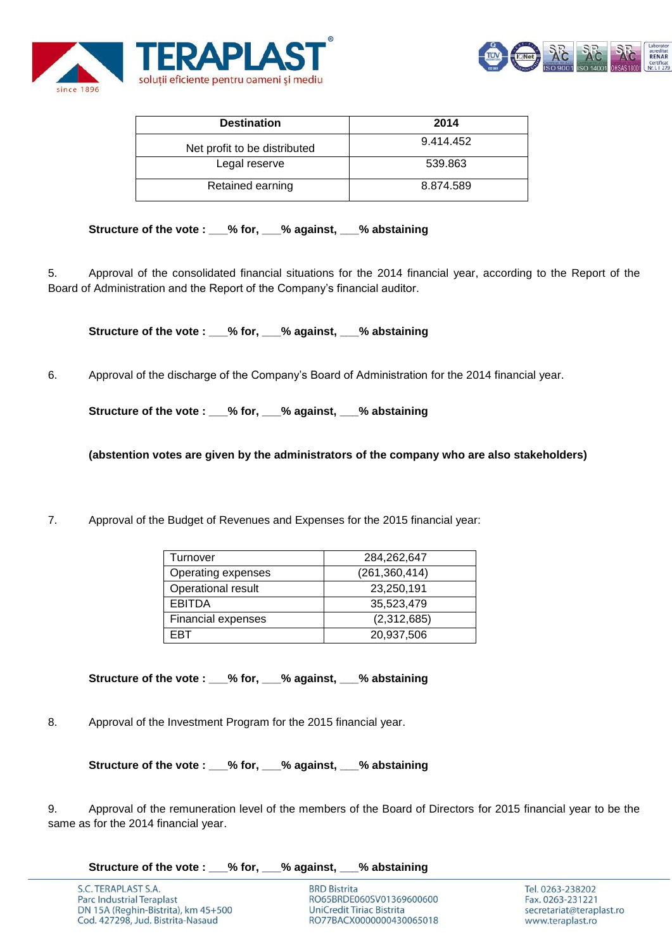



| <b>Destination</b>           | 2014      |
|------------------------------|-----------|
| Net profit to be distributed | 9.414.452 |
| Legal reserve                | 539.863   |
| Retained earning             | 8.874.589 |

## **Structure of the vote : \_\_\_% for, \_\_\_% against, \_\_\_% abstaining**

5. Approval of the consolidated financial situations for the 2014 financial year, according to the Report of the Board of Administration and the Report of the Company's financial auditor.

Structure of the vote : % for, % against, % abstaining

6. Approval of the discharge of the Company's Board of Administration for the 2014 financial year.

**Structure of the vote : \_\_\_% for, \_\_\_% against, \_\_\_% abstaining**

**(abstention votes are given by the administrators of the company who are also stakeholders)**

7. Approval of the Budget of Revenues and Expenses for the 2015 financial year:

| Turnover           | 284,262,647   |
|--------------------|---------------|
| Operating expenses | (261,360,414) |
| Operational result | 23,250,191    |
| <b>EBITDA</b>      | 35,523,479    |
| Financial expenses | (2,312,685)   |
| ⊏RT                | 20,937,506    |

**Structure of the vote : \_\_\_% for, \_\_\_% against, \_\_\_% abstaining**

8. Approval of the Investment Program for the 2015 financial year.

**Structure of the vote : \_\_\_% for, \_\_\_% against, \_\_\_% abstaining**

9. Approval of the remuneration level of the members of the Board of Directors for 2015 financial year to be the same as for the 2014 financial year.

**Structure of the vote : \_\_\_% for, \_\_\_% against, \_\_\_% abstaining**

**BRD Bistrita** RO65BRDE060SV01369600600 UniCredit Tiriac Bistrita RO77BACX0000000430065018